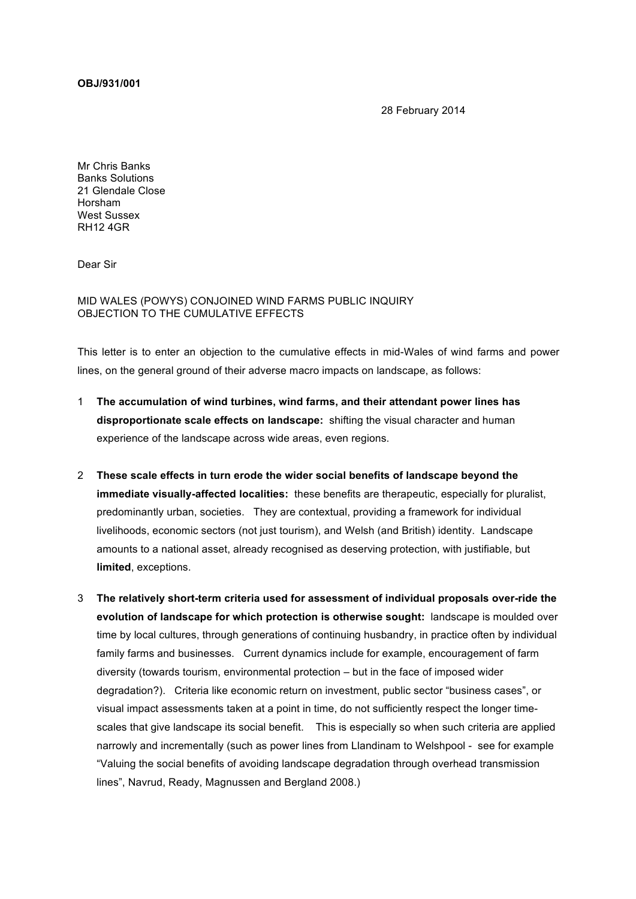**OBJ/931/001**

28 February 2014

Mr Chris Banks Banks Solutions 21 Glendale Close Horsham West Sussex RH12 4GR

Dear Sir

MID WALES (POWYS) CONJOINED WIND FARMS PUBLIC INQUIRY OBJECTION TO THE CUMULATIVE EFFECTS

This letter is to enter an objection to the cumulative effects in mid-Wales of wind farms and power lines, on the general ground of their adverse macro impacts on landscape, as follows:

- 1 **The accumulation of wind turbines, wind farms, and their attendant power lines has disproportionate scale effects on landscape:** shifting the visual character and human experience of the landscape across wide areas, even regions.
- 2 **These scale effects in turn erode the wider social benefits of landscape beyond the immediate visually-affected localities:** these benefits are therapeutic, especially for pluralist, predominantly urban, societies. They are contextual, providing a framework for individual livelihoods, economic sectors (not just tourism), and Welsh (and British) identity. Landscape amounts to a national asset, already recognised as deserving protection, with justifiable, but **limited**, exceptions.
- 3 **The relatively short-term criteria used for assessment of individual proposals over-ride the evolution of landscape for which protection is otherwise sought:** landscape is moulded over time by local cultures, through generations of continuing husbandry, in practice often by individual family farms and businesses. Current dynamics include for example, encouragement of farm diversity (towards tourism, environmental protection – but in the face of imposed wider degradation?). Criteria like economic return on investment, public sector "business cases", or visual impact assessments taken at a point in time, do not sufficiently respect the longer timescales that give landscape its social benefit. This is especially so when such criteria are applied narrowly and incrementally (such as power lines from Llandinam to Welshpool - see for example "Valuing the social benefits of avoiding landscape degradation through overhead transmission lines", Navrud, Ready, Magnussen and Bergland 2008.)